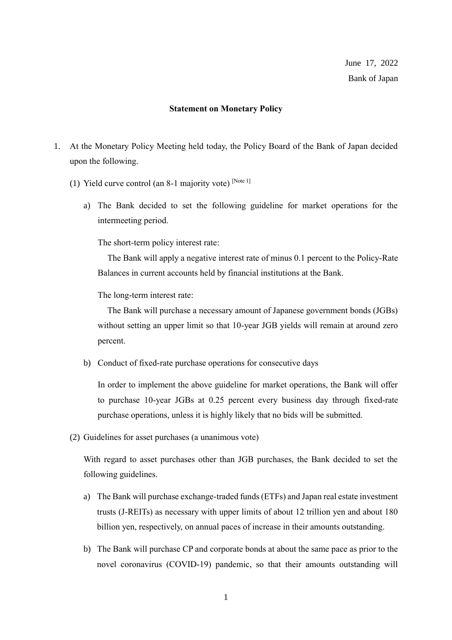## **Statement on Monetary Policy**

- 1. At the Monetary Policy Meeting held today, the Policy Board of the Bank of Japan decided upon the following.
	- (1) Yield curve control (an 8-1 majority vote)  $[Note 1]$ 
		- a) The Bank decided to set the following guideline for market operations for the intermeeting period.

The short-term policy interest rate:

The Bank will apply a negative interest rate of minus 0.1 percent to the Policy-Rate Balances in current accounts held by financial institutions at the Bank.

The long-term interest rate:

The Bank will purchase a necessary amount of Japanese government bonds (JGBs) without setting an upper limit so that 10-year JGB yields will remain at around zero percent.

b) Conduct of fixed-rate purchase operations for consecutive days

In order to implement the above guideline for market operations, the Bank will offer to purchase 10-year JGBs at 0.25 percent every business day through fixed-rate purchase operations, unless it is highly likely that no bids will be submitted.

(2) Guidelines for asset purchases (a unanimous vote)

With regard to asset purchases other than JGB purchases, the Bank decided to set the following guidelines.

- a) The Bank will purchase exchange-traded funds (ETFs) and Japan real estate investment trusts (J-REITs) as necessary with upper limits of about 12 trillion yen and about 180 billion yen, respectively, on annual paces of increase in their amounts outstanding.
- b) The Bank will purchase CP and corporate bonds at about the same pace as prior to the novel coronavirus (COVID-19) pandemic, so that their amounts outstanding will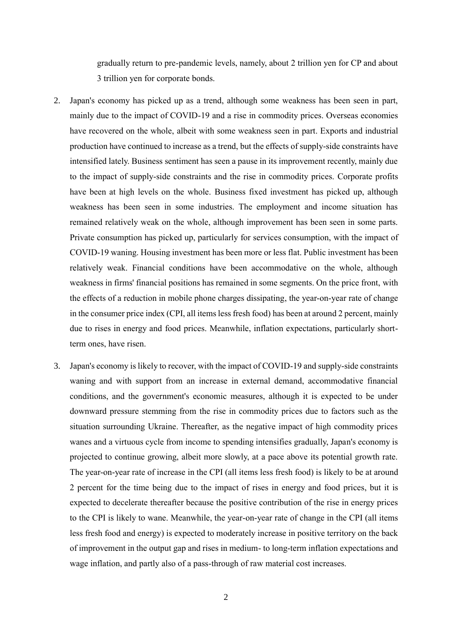gradually return to pre-pandemic levels, namely, about 2 trillion yen for CP and about 3 trillion yen for corporate bonds.

- 2. Japan's economy has picked up as a trend, although some weakness has been seen in part, mainly due to the impact of COVID-19 and a rise in commodity prices. Overseas economies have recovered on the whole, albeit with some weakness seen in part. Exports and industrial production have continued to increase as a trend, but the effects of supply-side constraints have intensified lately. Business sentiment has seen a pause in its improvement recently, mainly due to the impact of supply-side constraints and the rise in commodity prices. Corporate profits have been at high levels on the whole. Business fixed investment has picked up, although weakness has been seen in some industries. The employment and income situation has remained relatively weak on the whole, although improvement has been seen in some parts. Private consumption has picked up, particularly for services consumption, with the impact of COVID-19 waning. Housing investment has been more or less flat. Public investment has been relatively weak. Financial conditions have been accommodative on the whole, although weakness in firms' financial positions has remained in some segments. On the price front, with the effects of a reduction in mobile phone charges dissipating, the year-on-year rate of change in the consumer price index (CPI, all items less fresh food) has been at around 2 percent, mainly due to rises in energy and food prices. Meanwhile, inflation expectations, particularly shortterm ones, have risen.
- 3. Japan's economy is likely to recover, with the impact of COVID-19 and supply-side constraints waning and with support from an increase in external demand, accommodative financial conditions, and the government's economic measures, although it is expected to be under downward pressure stemming from the rise in commodity prices due to factors such as the situation surrounding Ukraine. Thereafter, as the negative impact of high commodity prices wanes and a virtuous cycle from income to spending intensifies gradually, Japan's economy is projected to continue growing, albeit more slowly, at a pace above its potential growth rate. The year-on-year rate of increase in the CPI (all items less fresh food) is likely to be at around 2 percent for the time being due to the impact of rises in energy and food prices, but it is expected to decelerate thereafter because the positive contribution of the rise in energy prices to the CPI is likely to wane. Meanwhile, the year-on-year rate of change in the CPI (all items less fresh food and energy) is expected to moderately increase in positive territory on the back of improvement in the output gap and rises in medium- to long-term inflation expectations and wage inflation, and partly also of a pass-through of raw material cost increases.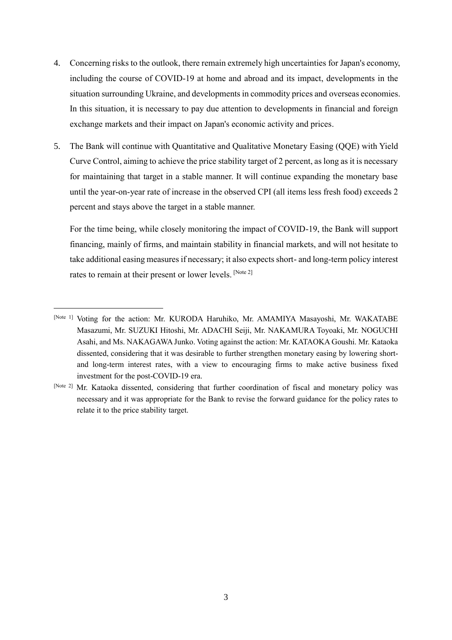- 4. Concerning risks to the outlook, there remain extremely high uncertainties for Japan's economy, including the course of COVID-19 at home and abroad and its impact, developments in the situation surrounding Ukraine, and developments in commodity prices and overseas economies. In this situation, it is necessary to pay due attention to developments in financial and foreign exchange markets and their impact on Japan's economic activity and prices.
- 5. The Bank will continue with Quantitative and Qualitative Monetary Easing (QQE) with Yield Curve Control, aiming to achieve the price stability target of 2 percent, as long as it is necessary for maintaining that target in a stable manner. It will continue expanding the monetary base until the year-on-year rate of increase in the observed CPI (all items less fresh food) exceeds 2 percent and stays above the target in a stable manner.

For the time being, while closely monitoring the impact of COVID-19, the Bank will support financing, mainly of firms, and maintain stability in financial markets, and will not hesitate to take additional easing measures if necessary; it also expects short- and long-term policy interest rates to remain at their present or lower levels. [Note 2]

<sup>[</sup>Note 1] Voting for the action: Mr. KURODA Haruhiko, Mr. AMAMIYA Masayoshi, Mr. WAKATABE Masazumi, Mr. SUZUKI Hitoshi, Mr. ADACHI Seiji, Mr. NAKAMURA Toyoaki, Mr. NOGUCHI Asahi, and Ms. NAKAGAWA Junko. Voting against the action: Mr. KATAOKA Goushi. Mr. Kataoka dissented, considering that it was desirable to further strengthen monetary easing by lowering shortand long-term interest rates, with a view to encouraging firms to make active business fixed investment for the post-COVID-19 era.

<sup>[</sup>Note 2] Mr. Kataoka dissented, considering that further coordination of fiscal and monetary policy was necessary and it was appropriate for the Bank to revise the forward guidance for the policy rates to relate it to the price stability target.